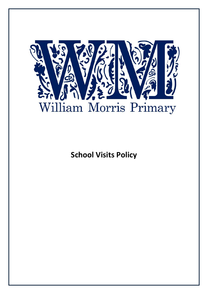

**School Visits Policy**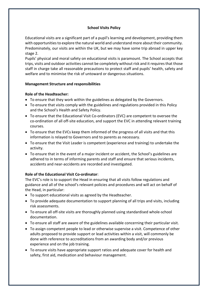# **School Visits Policy**

Educational visits are a significant part of a pupil's learning and development, providing them with opportunities to explore the natural world and understand more about their community. Predominately, our visits are within the UK, but we may have some trip abroad in upper key stage 2.

Pupils' physical and moral safety on educational visits is paramount. The School accepts that trips, visits and outdoor activities cannot be completely without risk and it requires that those staff in charge take all reasonable precautions to protect staff and pupils' health, safety and welfare and to minimise the risk of untoward or dangerous situations.

### **Management Structure and responsibilities**

### **Role of the Headteacher:**

- To ensure that they work within the guidelines as delegated by the Governors.
- To ensure that visits comply with the guidelines and regulations provided in this Policy and the School's Health and Safety Policy.
- To ensure that the Educational Visit Co-ordinators (EVC) are competent to oversee the co-ordination of all off-site education, and support the EVC in attending relevant training courses.
- To ensure that the EVCs keep them informed of the progress of all visits and that this information is relayed to Governors and to parents as necessary.
- To ensure that the Visit Leader is competent (experience and training) to undertake the activity.
- To ensure that in the event of a major incident or accident, the School's guidelines are adhered to in terms of informing parents and staff and ensure that serious incidents, accidents and near-accidents are recorded and investigated.

# **Role of the Educational Visit Co-ordinator**:

The EVC's role is to support the Head in ensuring that all visits follow regulations and guidance and all of the school's relevant policies and procedures and will act on behalf of the Head, in particular:

- To support educational visits as agreed by the Headteacher.
- To provide adequate documentation to support planning of all trips and visits, including risk assessments.
- To ensure all off-site visits are thoroughly planned using standardised whole-school documentation.
- To ensure all staff are aware of the guidelines available concerning their particular visit.
- To assign competent people to lead or otherwise supervise a visit. Competence of other adults proposed to provide support or lead activities within a visit, will commonly be done with reference to accreditations from an awarding body and/or previous experience and on the job training.
- To ensure visits have appropriate support ratios and adequate cover for health and safety, first aid, medication and behaviour management.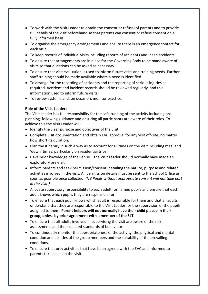- To work with the Visit Leader to obtain the consent or refusal of parents and to provide full details of the visit beforehand so that parents can consent or refuse consent on a fully informed basis.
- To organise the emergency arrangements and ensure there is an emergency contact for each visit.
- To keep records of individual visits including reports of accidents and 'near-accidents'.
- To ensure that arrangements are in place for the Governing Body to be made aware of visits so that questions can be asked as necessary.
- To ensure that visit evaluation is used to inform future visits and training needs. Further staff training should be made available where a need is identified.
- To arrange for the recording of accidents and the reporting of serious injuries as required. Accident and incident records should be reviewed regularly, and this information used to inform future visits.
- To review systems and, on occasion, monitor practice.

### **Role of the Visit Leader:**

The Visit Leader has full responsibility for the safe running of the activity including pre planning, following guidance and ensuring all participants are aware of their roles. To achieve this the Visit Leader will:

- Identify the clear purpose and objectives of the visit.
- Complete visit documentation and obtain EVC approval for any visit off-site, no matter how short its duration.
- Plan the itinerary in such a way as to account for all times on the visit including meal and 'down' times, particularly on residential trips.
- Have prior knowledge of the venue the Visit Leader should normally have made an exploratory pre-visit*.*
- Inform parents and seek permission/consent, detailing the nature, purpose and related activities involved in the visit. All permission details must be sent to the School Office as soon as possible once collected. *(NB Pupils without appropriate consent will not take part in the visit.)*
- Allocate supervisory responsibility to each adult for named pupils and ensure that each adult knows which pupils they are responsible for.
- To ensure that each pupil knows which adult is responsible for them and that all adults understand that they are responsible to the Visit Leader for the supervision of the pupils assigned to them. **Parent helpers will not normally have their child placed in their group, unless by prior agreement with a member of the SLT.**
- To ensure that all adults involved in supervising the visit are aware of the risk assessments and the expected standards of behaviour.
- To continuously monitor the appropriateness of the activity, the physical and mental condition and abilities of the group members and the suitability of the prevailing conditions.
- To ensure that only activities that have been agreed with the EVC and informed to parents take place on the visit.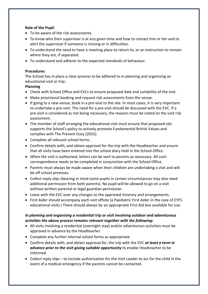## **Role of the Pupil**:

- To be aware of the risk assessments.
- To know who their supervisor is at any given time and how to contact him or her and to alert the supervisor if someone is missing or in difficulties.
- To understand the need to have a meeting place to return to, or an instruction to remain where they are, if separated.
- To understand and adherer to the expected standards of behaviour.

### **Procedures**

The School has in place a clear process to be adhered to in planning and organising an educational visit or trip:

### **Planning**

- Check with School Office and EVCs to ensure proposed date and suitability of the visit.
- Make provisional booking and request risk assessments from the venue.
- If going to a new venue, book in a pre-visit to the site. In most cases, it is very important to undertake a pre-visit. The need for a pre-visit should be discussed with the EVC. If a pre-visit is considered as not being necessary, the reasons must be noted on the visit risk assessment.
- The member of staff arranging the educational visit must ensure that proposed site supports the School's policy to actively promote Fundamental British Values and complies with The Prevent Duty (2015).
- Complete all relevant school forms.
- Confirm details with, and obtain approval for the trip with the Headteacher and ensure that all visits have been entered into the school diary held in the School Office.
- *When the visit is authorised*, letters can be sent to parents as necessary. All such correspondence needs to be completed in conjunction with the School Office.
- Parents must always be made aware when their children are undertaking a visit and will be off school premises.
- Collect reply slips (bearing in mind some pupils in certain circumstances may also need additional permission from both parents). No pupil will be allowed to go on a visit without written parental or legal guardian permission.
- Liaise with the EVC over any changes to the approved itinerary and arrangements.
- First Aider should accompany each visit offsite (a Paediatric First Aider in the case of EYFS educational visits.) There should always be an appropriate First Aid box available for use.

# *In planning and organising a residential trip or visit involving outdoor and adventurous activities the above process remains relevant together with the following:*

- All visits involving a residential (overnight stay) and/or adventurous activities must be approved in advance by the Headteacher.
- Complete any further internal school forms as appropriate.
- Confirm details with, and obtain approval for, the trip with the EVC *at least a term in advance prior to the visit giving suitable opportunity* to enable Headteacher to be informed.
- Collect reply slips to include authorisation for the Visit Leader to act for the child in the event of a medical emergency if the parents cannot be contacted.